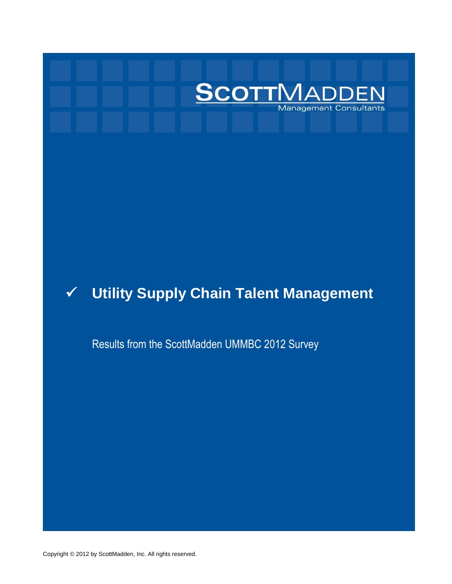

# **Utility Supply Chain Talent Management**

Results from the ScottMadden UMMBC 2012 Survey

Copyright © 2012 by ScottMadden, Inc. All rights reserved.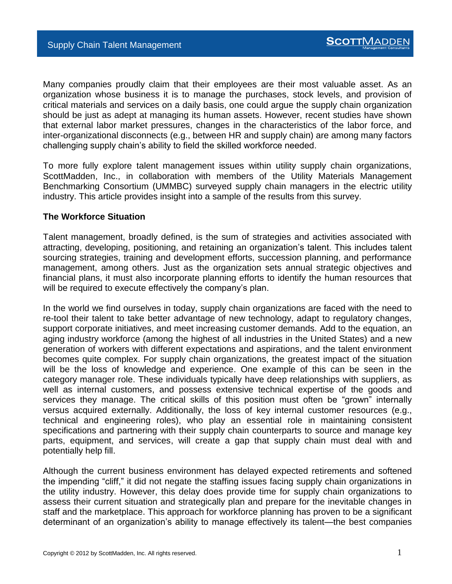Many companies proudly claim that their employees are their most valuable asset. As an organization whose business it is to manage the purchases, stock levels, and provision of critical materials and services on a daily basis, one could argue the supply chain organization should be just as adept at managing its human assets. However, recent studies have shown that external labor market pressures, changes in the characteristics of the labor force, and inter-organizational disconnects (e.g., between HR and supply chain) are among many factors challenging supply chain's ability to field the skilled workforce needed.

To more fully explore talent management issues within utility supply chain organizations, ScottMadden, Inc., in collaboration with members of the Utility Materials Management Benchmarking Consortium (UMMBC) surveyed supply chain managers in the electric utility industry. This article provides insight into a sample of the results from this survey.

### **The Workforce Situation**

Talent management, broadly defined, is the sum of strategies and activities associated with attracting, developing, positioning, and retaining an organization's talent. This includes talent sourcing strategies, training and development efforts, succession planning, and performance management, among others. Just as the organization sets annual strategic objectives and financial plans, it must also incorporate planning efforts to identify the human resources that will be required to execute effectively the company's plan.

In the world we find ourselves in today, supply chain organizations are faced with the need to re-tool their talent to take better advantage of new technology, adapt to regulatory changes, support corporate initiatives, and meet increasing customer demands. Add to the equation, an aging industry workforce (among the highest of all industries in the United States) and a new generation of workers with different expectations and aspirations, and the talent environment becomes quite complex. For supply chain organizations, the greatest impact of the situation will be the loss of knowledge and experience. One example of this can be seen in the category manager role. These individuals typically have deep relationships with suppliers, as well as internal customers, and possess extensive technical expertise of the goods and services they manage. The critical skills of this position must often be "grown" internally versus acquired externally. Additionally, the loss of key internal customer resources (e.g., technical and engineering roles), who play an essential role in maintaining consistent specifications and partnering with their supply chain counterparts to source and manage key parts, equipment, and services, will create a gap that supply chain must deal with and potentially help fill.

Although the current business environment has delayed expected retirements and softened the impending "cliff," it did not negate the staffing issues facing supply chain organizations in the utility industry. However, this delay does provide time for supply chain organizations to assess their current situation and strategically plan and prepare for the inevitable changes in staff and the marketplace. This approach for workforce planning has proven to be a significant determinant of an organization's ability to manage effectively its talent—the best companies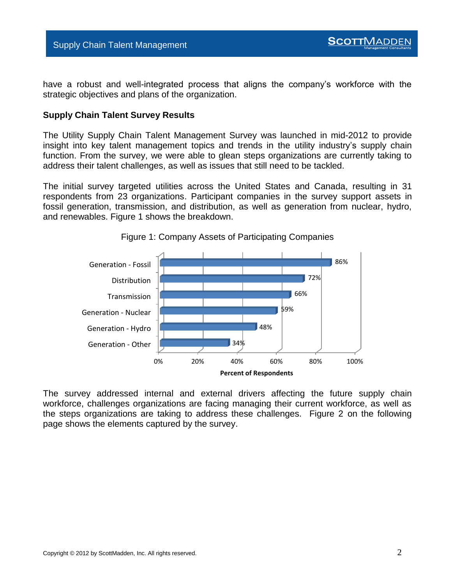Supply Chain Talent Management

have a robust and well-integrated process that aligns the company's workforce with the strategic objectives and plans of the organization.

#### **Supply Chain Talent Survey Results**

The Utility Supply Chain Talent Management Survey was launched in mid-2012 to provide insight into key talent management topics and trends in the utility industry's supply chain function. From the survey, we were able to glean steps organizations are currently taking to address their talent challenges, as well as issues that still need to be tackled.

The initial survey targeted utilities across the United States and Canada, resulting in 31 respondents from 23 organizations. Participant companies in the survey support assets in fossil generation, transmission, and distribution, as well as generation from nuclear, hydro, and renewables. Figure 1 shows the breakdown.





The survey addressed internal and external drivers affecting the future supply chain workforce, challenges organizations are facing managing their current workforce, as well as the steps organizations are taking to address these challenges. Figure 2 on the following page shows the elements captured by the survey.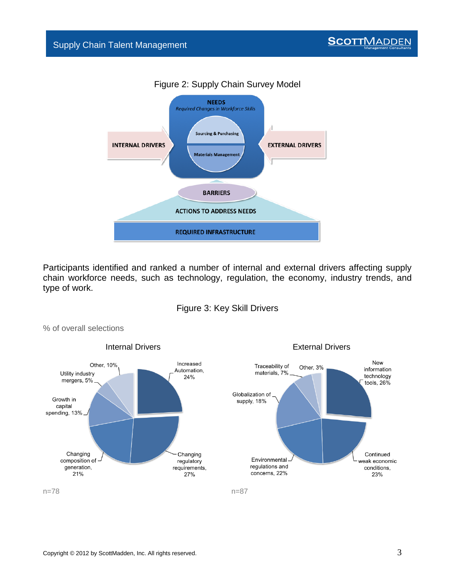

## Figure 2: Supply Chain Survey Model

Participants identified and ranked a number of internal and external drivers affecting supply chain workforce needs, such as technology, regulation, the economy, industry trends, and type of work.





% of overall selections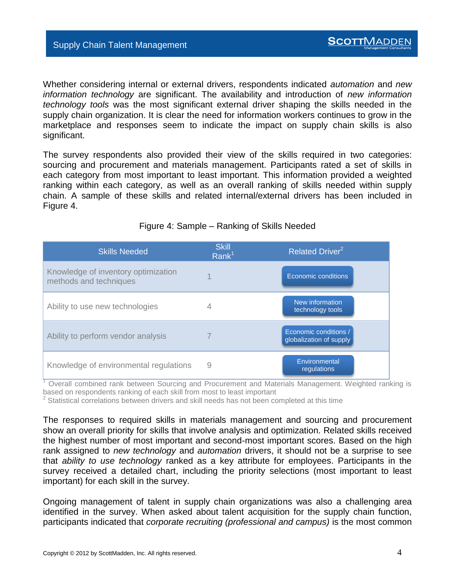Whether considering internal or external drivers, respondents indicated *automation* and *new information technology* are significant. The availability and introduction of *new information technology tools* was the most significant external driver shaping the skills needed in the supply chain organization. It is clear the need for information workers continues to grow in the marketplace and responses seem to indicate the impact on supply chain skills is also significant.

The survey respondents also provided their view of the skills required in two categories: sourcing and procurement and materials management. Participants rated a set of skills in each category from most important to least important. This information provided a weighted ranking within each category, as well as an overall ranking of skills needed within supply chain. A sample of these skills and related internal/external drivers has been included in Figure 4.

| <b>Skills Needed</b>                                          | <b>Skill</b><br>Rank <sup>1</sup> | Related Driver <sup>2</sup>                      |
|---------------------------------------------------------------|-----------------------------------|--------------------------------------------------|
| Knowledge of inventory optimization<br>methods and techniques |                                   | Economic conditions                              |
| Ability to use new technologies                               |                                   | New information<br>technology tools              |
| Ability to perform vendor analysis                            |                                   | Economic conditions /<br>globalization of supply |
| Knowledge of environmental regulations                        | 9                                 | Environmental<br>regulations                     |

### Figure 4: Sample – Ranking of Skills Needed

<sup>1</sup> Overall combined rank between Sourcing and Procurement and Materials Management. Weighted ranking is based on respondents ranking of each skill from most to least important

 $2$  Statistical correlations between drivers and skill needs has not been completed at this time

The responses to required skills in materials management and sourcing and procurement show an overall priority for skills that involve analysis and optimization. Related skills received the highest number of most important and second-most important scores. Based on the high rank assigned to *new technology* and *automation* drivers, it should not be a surprise to see that *ability to use technology* ranked as a key attribute for employees. Participants in the survey received a detailed chart, including the priority selections (most important to least important) for each skill in the survey.

Ongoing management of talent in supply chain organizations was also a challenging area identified in the survey. When asked about talent acquisition for the supply chain function, participants indicated that *corporate recruiting (professional and campus)* is the most common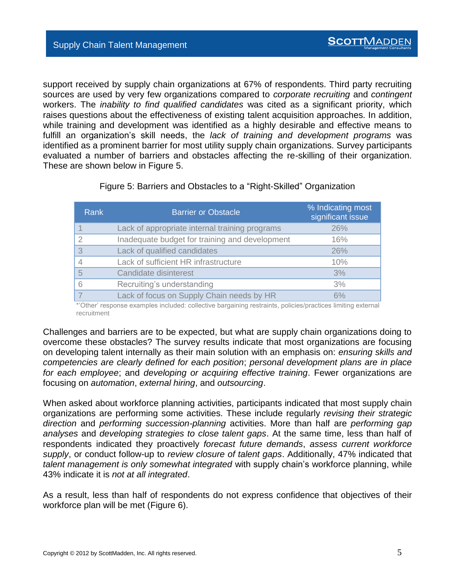support received by supply chain organizations at 67% of respondents. Third party recruiting sources are used by very few organizations compared to *corporate recruiting* and *contingent* workers. The *inability to find qualified candidates* was cited as a significant priority, which raises questions about the effectiveness of existing talent acquisition approaches. In addition, while training and development was identified as a highly desirable and effective means to fulfill an organization's skill needs, the *lack of training and development programs* was identified as a prominent barrier for most utility supply chain organizations. Survey participants evaluated a number of barriers and obstacles affecting the re-skilling of their organization. These are shown below in Figure 5.

| <b>Rank</b>   | <b>Barrier or Obstacle</b>                     | % Indicating most<br>significant issue |
|---------------|------------------------------------------------|----------------------------------------|
|               | Lack of appropriate internal training programs | 26%                                    |
| $\mathcal{P}$ | Inadequate budget for training and development | 16%                                    |
| 3             | Lack of qualified candidates                   | 26%                                    |
| 4             | Lack of sufficient HR infrastructure           | 10%                                    |
| 5             | Candidate disinterest                          | 3%                                     |
| 6             | Recruiting's understanding                     | 3%                                     |
|               | Lack of focus on Supply Chain needs by HR      | 6%                                     |
| $+ - - +$     |                                                |                                        |

Figure 5: Barriers and Obstacles to a "Right-Skilled" Organization

\*'Other' response examples included: collective bargaining restraints, policies/practices limiting external recruitment

Challenges and barriers are to be expected, but what are supply chain organizations doing to overcome these obstacles? The survey results indicate that most organizations are focusing on developing talent internally as their main solution with an emphasis on: *ensuring skills and competencies are clearly defined for each position*; *personal development plans are in place for each employee*; and *developing or acquiring effective training*. Fewer organizations are focusing on *automation*, *external hiring*, and *outsourcing*.

When asked about workforce planning activities, participants indicated that most supply chain organizations are performing some activities. These include regularly *revising their strategic direction* and *performing succession-planning* activities. More than half are *performing gap analyses* and *developing strategies to close talent gaps*. At the same time, less than half of respondents indicated they proactively *forecast future demands*, *assess current workforce supply*, or conduct follow-up to *review closure of talent gaps*. Additionally, 47% indicated that *talent management is only somewhat integrated* with supply chain's workforce planning, while 43% indicate it is *not at all integrated*.

As a result, less than half of respondents do not express confidence that objectives of their workforce plan will be met (Figure 6).